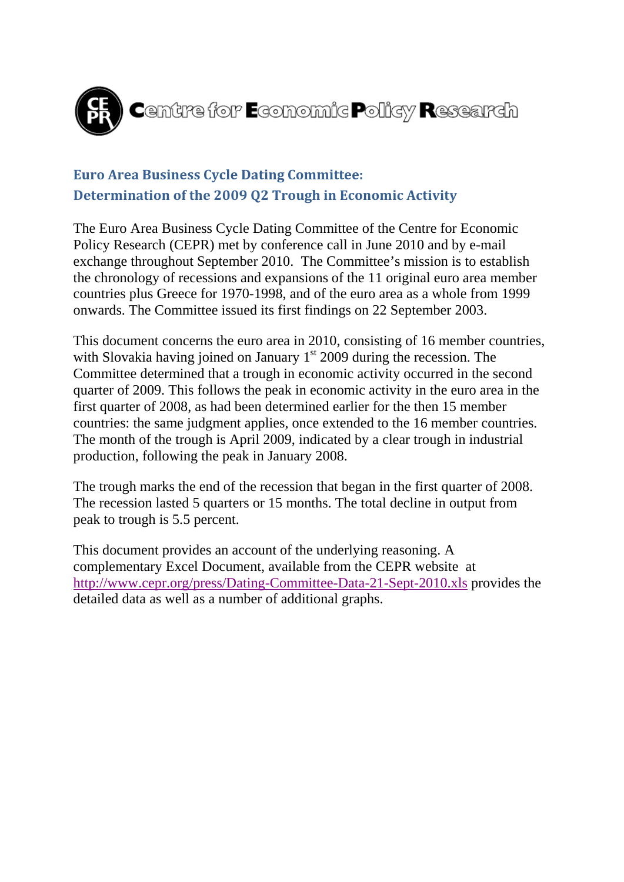

# **Euro Area Business Cycle Dating Committee: Determination of the 2009 Q2 Trough in Economic Activity**

The Euro Area Business Cycle Dating Committee of the Centre for Economic Policy Research (CEPR) met by conference call in June 2010 and by e-mail exchange throughout September 2010. The Committee's mission is to establish the chronology of recessions and expansions of the 11 original euro area member countries plus Greece for 1970-1998, and of the euro area as a whole from 1999 onwards. The Committee issued its first findings on 22 September 2003.

This document concerns the euro area in 2010, consisting of 16 member countries, with Slovakia having joined on January  $1<sup>st</sup>$  2009 during the recession. The Committee determined that a trough in economic activity occurred in the second quarter of 2009. This follows the peak in economic activity in the euro area in the first quarter of 2008, as had been determined earlier for the then 15 member countries: the same judgment applies, once extended to the 16 member countries. The month of the trough is April 2009, indicated by a clear trough in industrial production, following the peak in January 2008.

The trough marks the end of the recession that began in the first quarter of 2008. The recession lasted 5 quarters or 15 months. The total decline in output from peak to trough is 5.5 percent.

This document provides an account of the underlying reasoning. A complementary Excel Document, available from the CEPR website at http://www.cepr.org/press/Dating-Committee-Data-21-Sept-2010.xls provides the detailed data as well as a number of additional graphs.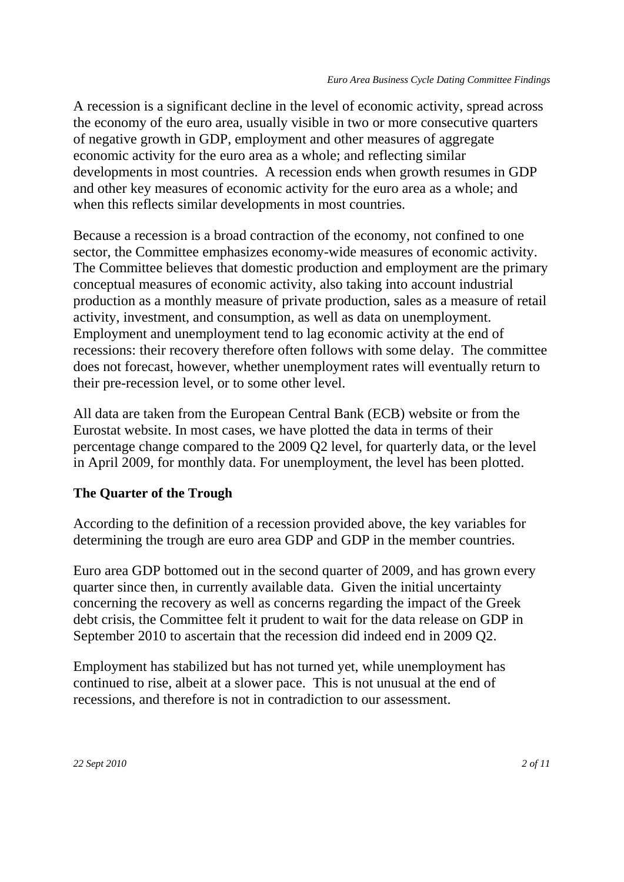A recession is a significant decline in the level of economic activity, spread across the economy of the euro area, usually visible in two or more consecutive quarters of negative growth in GDP, employment and other measures of aggregate economic activity for the euro area as a whole; and reflecting similar developments in most countries. A recession ends when growth resumes in GDP and other key measures of economic activity for the euro area as a whole; and when this reflects similar developments in most countries.

Because a recession is a broad contraction of the economy, not confined to one sector, the Committee emphasizes economy-wide measures of economic activity. The Committee believes that domestic production and employment are the primary conceptual measures of economic activity, also taking into account industrial production as a monthly measure of private production, sales as a measure of retail activity, investment, and consumption, as well as data on unemployment. Employment and unemployment tend to lag economic activity at the end of recessions: their recovery therefore often follows with some delay. The committee does not forecast, however, whether unemployment rates will eventually return to their pre-recession level, or to some other level.

All data are taken from the European Central Bank (ECB) website or from the Eurostat website. In most cases, we have plotted the data in terms of their percentage change compared to the 2009 Q2 level, for quarterly data, or the level in April 2009, for monthly data. For unemployment, the level has been plotted.

## **The Quarter of the Trough**

According to the definition of a recession provided above, the key variables for determining the trough are euro area GDP and GDP in the member countries.

Euro area GDP bottomed out in the second quarter of 2009, and has grown every quarter since then, in currently available data. Given the initial uncertainty concerning the recovery as well as concerns regarding the impact of the Greek debt crisis, the Committee felt it prudent to wait for the data release on GDP in September 2010 to ascertain that the recession did indeed end in 2009 Q2.

Employment has stabilized but has not turned yet, while unemployment has continued to rise, albeit at a slower pace. This is not unusual at the end of recessions, and therefore is not in contradiction to our assessment.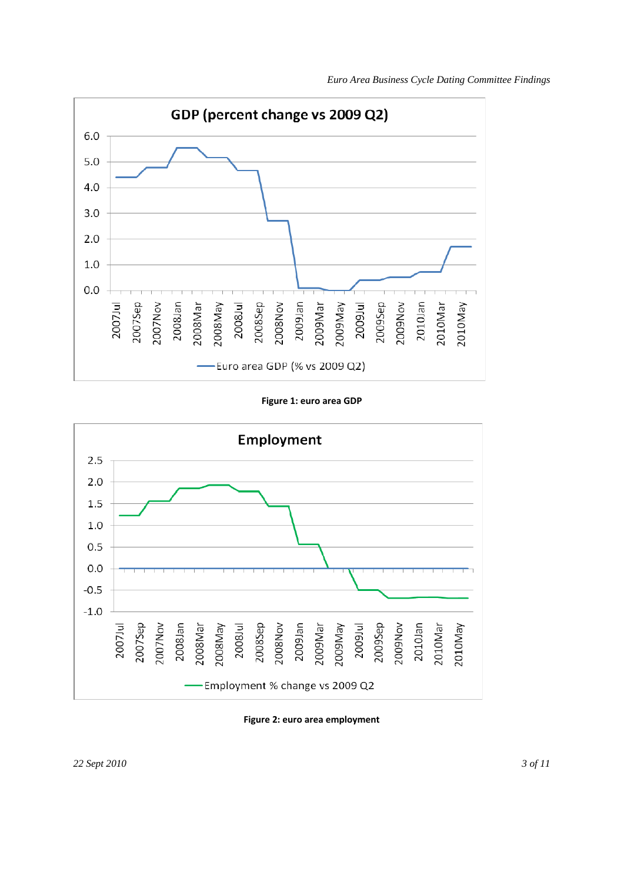

*Euro Area Business Cycle Dating Committee Findings*

**Figure 1: euro area GDP**



**Figure 2: euro area employment**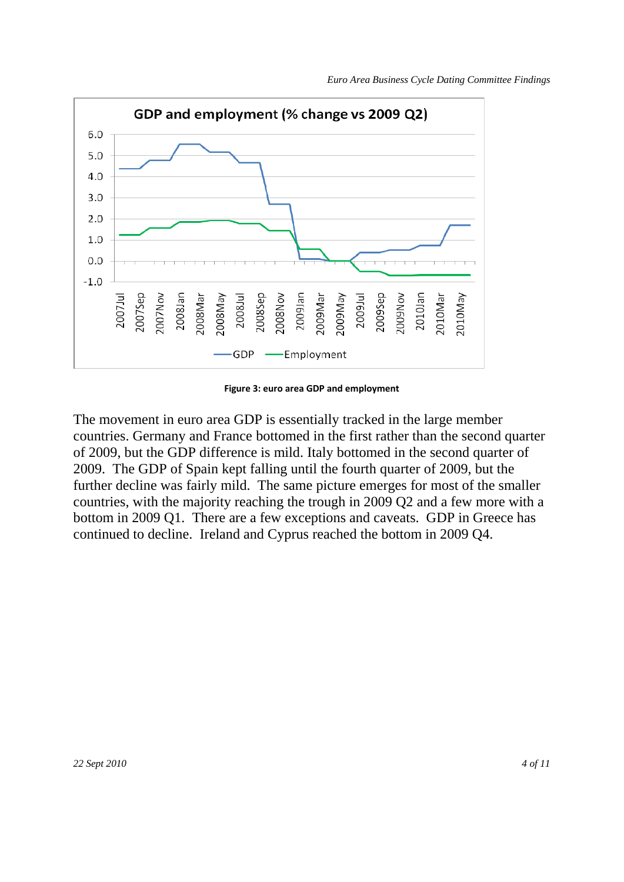

**Figure 3: euro area GDP and employment**

The movement in euro area GDP is essentially tracked in the large member countries. Germany and France bottomed in the first rather than the second quarter of 2009, but the GDP difference is mild. Italy bottomed in the second quarter of 2009. The GDP of Spain kept falling until the fourth quarter of 2009, but the further decline was fairly mild. The same picture emerges for most of the smaller countries, with the majority reaching the trough in 2009 Q2 and a few more with a bottom in 2009 Q1. There are a few exceptions and caveats. GDP in Greece has continued to decline. Ireland and Cyprus reached the bottom in 2009 Q4.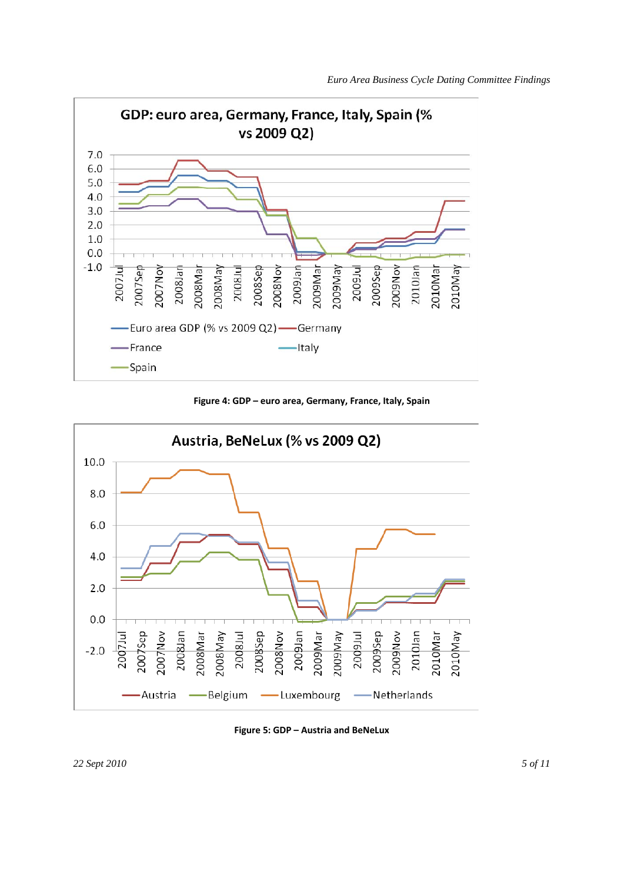

**Figure 4: GDP – euro area, Germany, France, Italy, Spain**



**Figure 5: GDP – Austria and BeNeLux**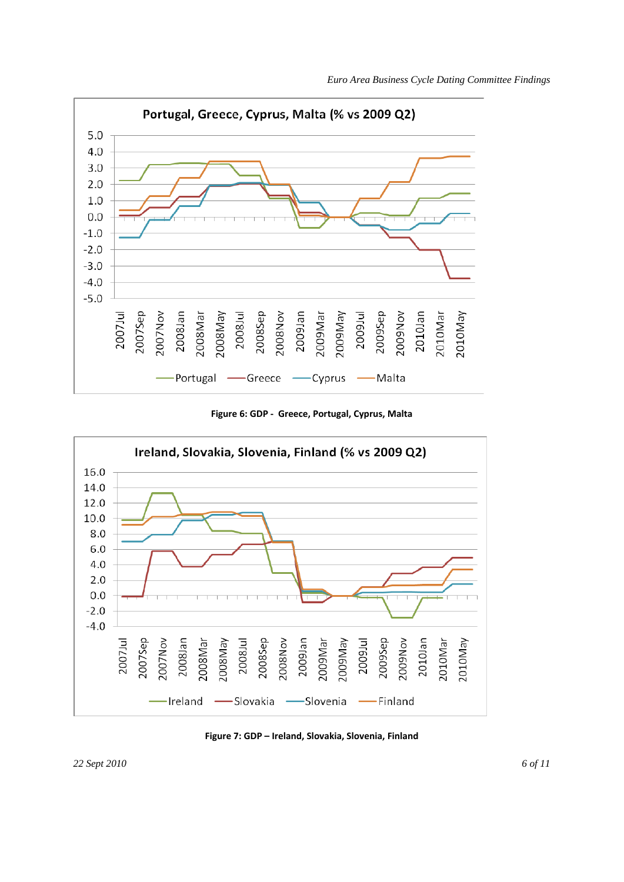

**Figure 6: GDP ‐ Greece, Portugal, Cyprus, Malta**



**Figure 7: GDP – Ireland, Slovakia, Slovenia, Finland**

*22 Sept 2010 6 of 11*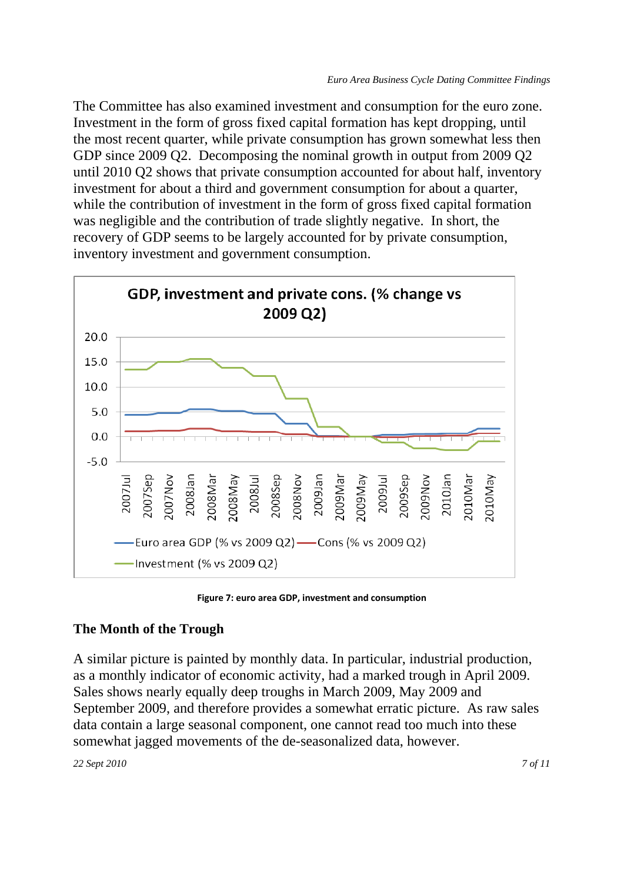The Committee has also examined investment and consumption for the euro zone. Investment in the form of gross fixed capital formation has kept dropping, until the most recent quarter, while private consumption has grown somewhat less then GDP since 2009 Q2. Decomposing the nominal growth in output from 2009 Q2 until 2010 Q2 shows that private consumption accounted for about half, inventory investment for about a third and government consumption for about a quarter, while the contribution of investment in the form of gross fixed capital formation was negligible and the contribution of trade slightly negative. In short, the recovery of GDP seems to be largely accounted for by private consumption, inventory investment and government consumption.



**Figure 7: euro area GDP, investment and consumption**

## **The Month of the Trough**

A similar picture is painted by monthly data. In particular, industrial production, as a monthly indicator of economic activity, had a marked trough in April 2009. Sales shows nearly equally deep troughs in March 2009, May 2009 and September 2009, and therefore provides a somewhat erratic picture. As raw sales data contain a large seasonal component, one cannot read too much into these somewhat jagged movements of the de-seasonalized data, however.

*22 Sept 2010 7 of 11*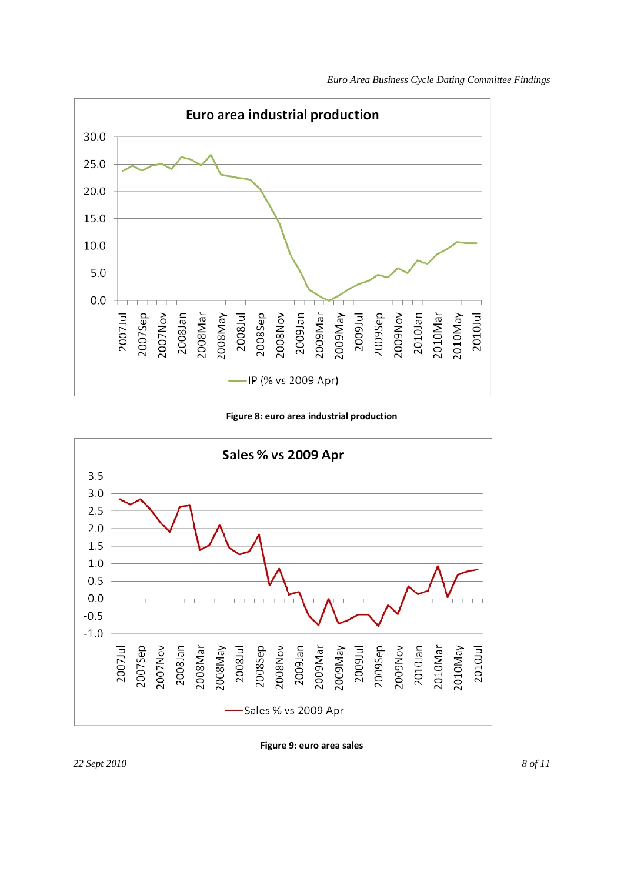

#### *Euro Area Business Cycle Dating Committee Findings*

#### **Figure 8: euro area industrial production**



**Figure 9: euro area sales**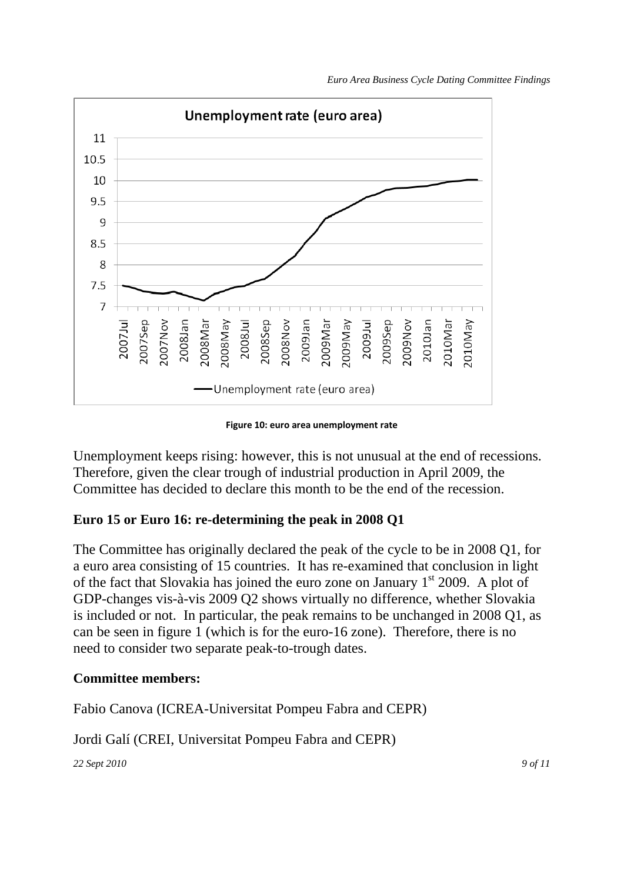

**Figure 10: euro area unemployment rate**

Unemployment keeps rising: however, this is not unusual at the end of recessions. Therefore, given the clear trough of industrial production in April 2009, the Committee has decided to declare this month to be the end of the recession.

## **Euro 15 or Euro 16: re-determining the peak in 2008 Q1**

The Committee has originally declared the peak of the cycle to be in 2008 Q1, for a euro area consisting of 15 countries. It has re-examined that conclusion in light of the fact that Slovakia has joined the euro zone on January  $1<sup>st</sup>$  2009. A plot of GDP-changes vis-à-vis 2009 Q2 shows virtually no difference, whether Slovakia is included or not. In particular, the peak remains to be unchanged in 2008 Q1, as can be seen in figure 1 (which is for the euro-16 zone). Therefore, there is no need to consider two separate peak-to-trough dates.

### **Committee members:**

Fabio Canova (ICREA-Universitat Pompeu Fabra and CEPR)

Jordi Galí (CREI, Universitat Pompeu Fabra and CEPR)

*22 Sept 2010 9 of 11*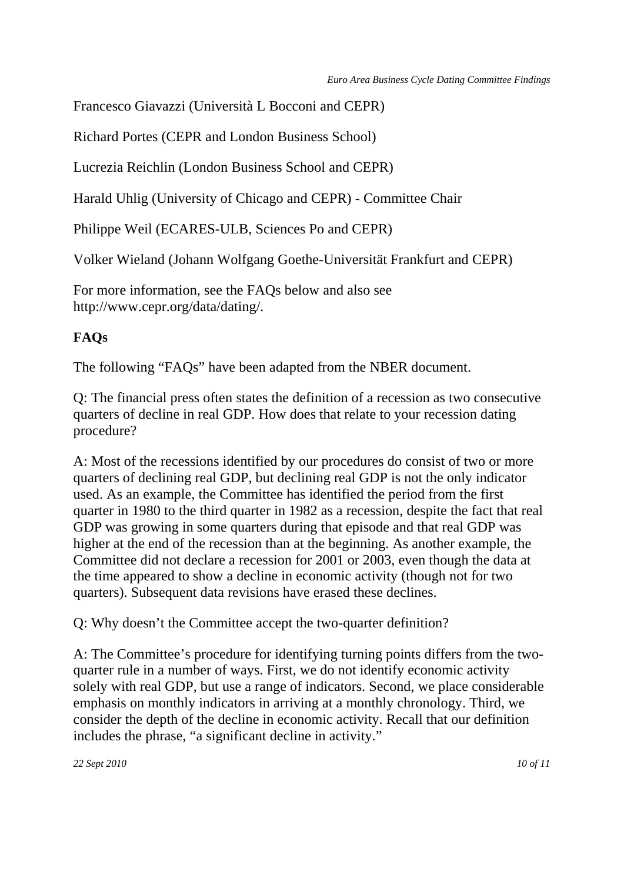Francesco Giavazzi (Università L Bocconi and CEPR)

Richard Portes (CEPR and London Business School)

Lucrezia Reichlin (London Business School and CEPR)

Harald Uhlig (University of Chicago and CEPR) - Committee Chair

Philippe Weil (ECARES-ULB, Sciences Po and CEPR)

Volker Wieland (Johann Wolfgang Goethe-Universität Frankfurt and CEPR)

For more information, see the FAQs below and also see http://www.cepr.org/data/dating/.

# **FAQs**

The following "FAQs" have been adapted from the NBER document.

Q: The financial press often states the definition of a recession as two consecutive quarters of decline in real GDP. How does that relate to your recession dating procedure?

A: Most of the recessions identified by our procedures do consist of two or more quarters of declining real GDP, but declining real GDP is not the only indicator used. As an example, the Committee has identified the period from the first quarter in 1980 to the third quarter in 1982 as a recession, despite the fact that real GDP was growing in some quarters during that episode and that real GDP was higher at the end of the recession than at the beginning. As another example, the Committee did not declare a recession for 2001 or 2003, even though the data at the time appeared to show a decline in economic activity (though not for two quarters). Subsequent data revisions have erased these declines.

Q: Why doesn't the Committee accept the two-quarter definition?

A: The Committee's procedure for identifying turning points differs from the twoquarter rule in a number of ways. First, we do not identify economic activity solely with real GDP, but use a range of indicators. Second, we place considerable emphasis on monthly indicators in arriving at a monthly chronology. Third, we consider the depth of the decline in economic activity. Recall that our definition includes the phrase, "a significant decline in activity."

*22 Sept 2010 10 of 11*